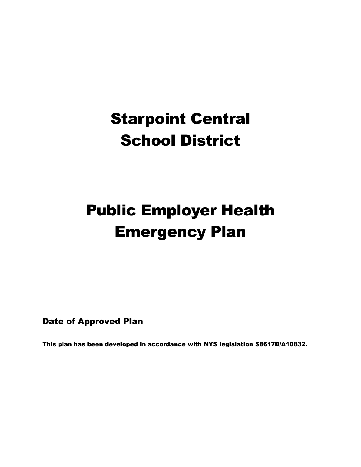# Starpoint Central School District

# Public Employer Health Emergency Plan

Date of Approved Plan

This plan has been developed in accordance with NYS legislation S8617B/A10832.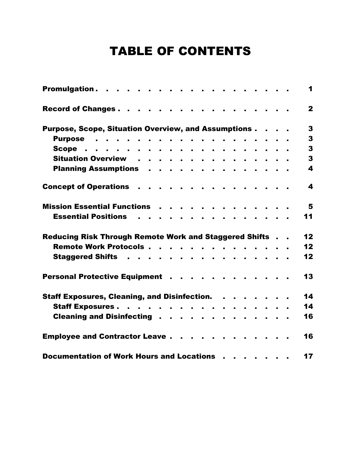# TABLE OF CONTENTS

|                                                               |  |  |   |  |  |  |  | $\mathbf 1$             |
|---------------------------------------------------------------|--|--|---|--|--|--|--|-------------------------|
| Record of Changes.                                            |  |  |   |  |  |  |  | $\mathbf{2}$            |
| Purpose, Scope, Situation Overview, and Assumptions           |  |  |   |  |  |  |  | $\mathbf{3}$            |
| Purpose                                                       |  |  |   |  |  |  |  | $\mathbf{3}$            |
|                                                               |  |  |   |  |  |  |  | $\overline{\mathbf{3}}$ |
| Situation Overview                                            |  |  |   |  |  |  |  | $\mathbf{3}$            |
| Planning Assumptions                                          |  |  |   |  |  |  |  | 4                       |
| Concept of Operations                                         |  |  |   |  |  |  |  | $\overline{\mathbf{4}}$ |
| Mission Essential Functions                                   |  |  |   |  |  |  |  | 5                       |
| <b>Essential Positions Fig. 4.</b>                            |  |  | . |  |  |  |  | 11                      |
| <b>Reducing Risk Through Remote Work and Staggered Shifts</b> |  |  |   |  |  |  |  | 12 <sub>2</sub>         |
| Remote Work Protocols                                         |  |  |   |  |  |  |  | 12                      |
| Staggered Shifts                                              |  |  |   |  |  |  |  | 12                      |
| Personal Protective Equipment                                 |  |  |   |  |  |  |  | 13                      |
| Staff Exposures, Cleaning, and Disinfection.                  |  |  |   |  |  |  |  | 14                      |
| Staff Exposures.                                              |  |  |   |  |  |  |  | 14                      |
| Cleaning and Disinfecting                                     |  |  |   |  |  |  |  | 16                      |
| <b>Employee and Contractor Leave</b>                          |  |  |   |  |  |  |  | 16                      |
| Documentation of Work Hours and Locations                     |  |  |   |  |  |  |  | 17                      |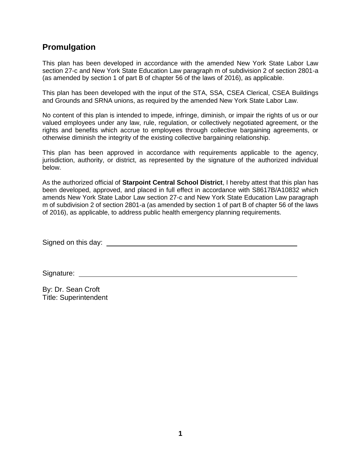# **Promulgation**

This plan has been developed in accordance with the amended New York State Labor Law section 27-c and New York State Education Law paragraph m of subdivision 2 of section 2801-a (as amended by section 1 of part B of chapter 56 of the laws of 2016), as applicable.

This plan has been developed with the input of the STA, SSA, CSEA Clerical, CSEA Buildings and Grounds and SRNA unions, as required by the amended New York State Labor Law.

No content of this plan is intended to impede, infringe, diminish, or impair the rights of us or our valued employees under any law, rule, regulation, or collectively negotiated agreement, or the rights and benefits which accrue to employees through collective bargaining agreements, or otherwise diminish the integrity of the existing collective bargaining relationship.

This plan has been approved in accordance with requirements applicable to the agency, jurisdiction, authority, or district, as represented by the signature of the authorized individual below.

As the authorized official of **Starpoint Central School District**, I hereby attest that this plan has been developed, approved, and placed in full effect in accordance with S8617B/A10832 which amends New York State Labor Law section 27-c and New York State Education Law paragraph m of subdivision 2 of section 2801-a (as amended by section 1 of part B of chapter 56 of the laws of 2016), as applicable, to address public health emergency planning requirements.

Signed on this day:

Signature:

By: Dr. Sean Croft Title: Superintendent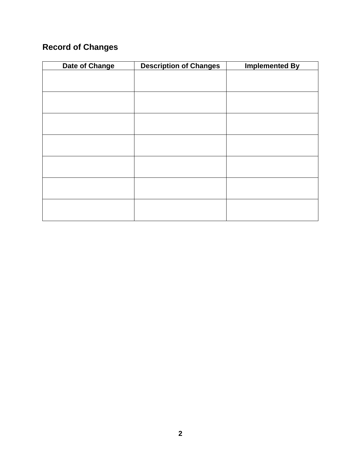# **Record of Changes**

| Date of Change | <b>Description of Changes</b> | <b>Implemented By</b> |
|----------------|-------------------------------|-----------------------|
|                |                               |                       |
|                |                               |                       |
|                |                               |                       |
|                |                               |                       |
|                |                               |                       |
|                |                               |                       |
|                |                               |                       |
|                |                               |                       |
|                |                               |                       |
|                |                               |                       |
|                |                               |                       |
|                |                               |                       |
|                |                               |                       |
|                |                               |                       |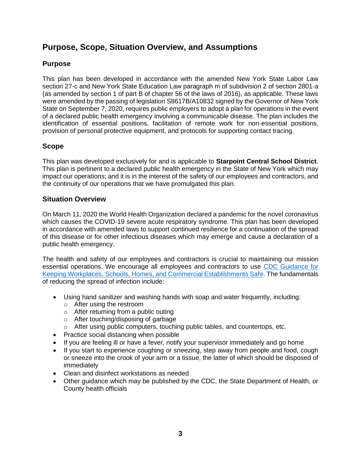# **Purpose, Scope, Situation Overview, and Assumptions**

#### **Purpose**

This plan has been developed in accordance with the amended New York State Labor Law section 27-c and New York State Education Law paragraph m of subdivision 2 of section 2801-a (as amended by section 1 of part B of chapter 56 of the laws of 2016), as applicable. These laws were amended by the passing of legislation S8617B/A10832 signed by the Governor of New York State on September 7, 2020, requires public employers to adopt a plan for operations in the event of a declared public health emergency involving a communicable disease. The plan includes the identification of essential positions, facilitation of remote work for non-essential positions, provision of personal protective equipment, and protocols for supporting contact tracing.

#### **Scope**

This plan was developed exclusively for and is applicable to **Starpoint Central School District**. This plan is pertinent to a declared public health emergency in the State of New York which may impact our operations; and it is in the interest of the safety of our employees and contractors, and the continuity of our operations that we have promulgated this plan.

#### **Situation Overview**

On March 11, 2020 the World Health Organization declared a pandemic for the novel coronavirus which causes the COVID-19 severe acute respiratory syndrome. This plan has been developed in accordance with amended laws to support continued resilience for a continuation of the spread of this disease or for other infectious diseases which may emerge and cause a declaration of a public health emergency.

The health and safety of our employees and contractors is crucial to maintaining our mission essential operations. We encourage all employees and contractors to use [CDC Guidance for](https://www.cdc.gov/coronavirus/2019-ncov/downloads/workplace-school-and-home-guidance.pdf)  [Keeping Workplaces, Schools, Homes, and Commercial Establishments Safe.](https://www.cdc.gov/coronavirus/2019-ncov/downloads/workplace-school-and-home-guidance.pdf) The fundamentals of reducing the spread of infection include:

- Using hand sanitizer and washing hands with soap and water frequently, including:
	- o After using the restroom
	- o After returning from a public outing
	- o After touching/disposing of garbage
	- $\circ$  After using public computers, touching public tables, and countertops, etc.
- Practice social distancing when possible
- If you are feeling ill or have a fever, notify your supervisor immediately and go home
- If you start to experience coughing or sneezing, step away from people and food, cough or sneeze into the crook of your arm or a tissue, the latter of which should be disposed of immediately
- Clean and disinfect workstations as needed
- Other guidance which may be published by the CDC, the State Department of Health, or County health officials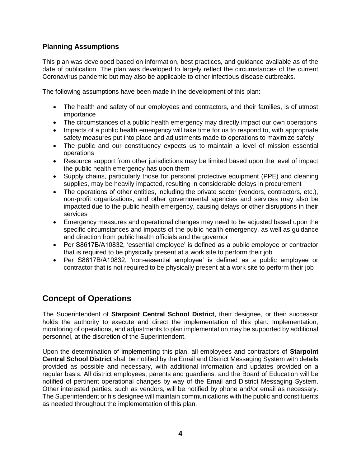#### **Planning Assumptions**

This plan was developed based on information, best practices, and guidance available as of the date of publication. The plan was developed to largely reflect the circumstances of the current Coronavirus pandemic but may also be applicable to other infectious disease outbreaks.

The following assumptions have been made in the development of this plan:

- The health and safety of our employees and contractors, and their families, is of utmost importance
- The circumstances of a public health emergency may directly impact our own operations
- Impacts of a public health emergency will take time for us to respond to, with appropriate safety measures put into place and adjustments made to operations to maximize safety
- The public and our constituency expects us to maintain a level of mission essential operations
- Resource support from other jurisdictions may be limited based upon the level of impact the public health emergency has upon them
- Supply chains, particularly those for personal protective equipment (PPE) and cleaning supplies, may be heavily impacted, resulting in considerable delays in procurement
- The operations of other entities, including the private sector (vendors, contractors, etc.), non-profit organizations, and other governmental agencies and services may also be impacted due to the public health emergency, causing delays or other disruptions in their services
- Emergency measures and operational changes may need to be adjusted based upon the specific circumstances and impacts of the public health emergency, as well as guidance and direction from public health officials and the governor
- Per S8617B/A10832, 'essential employee' is defined as a public employee or contractor that is required to be physically present at a work site to perform their job
- Per S8617B/A10832, 'non-essential employee' is defined as a public employee or contractor that is not required to be physically present at a work site to perform their job

# **Concept of Operations**

The Superintendent of **Starpoint Central School District**, their designee, or their successor holds the authority to execute and direct the implementation of this plan. Implementation, monitoring of operations, and adjustments to plan implementation may be supported by additional personnel, at the discretion of the Superintendent.

Upon the determination of implementing this plan, all employees and contractors of **Starpoint Central School District** shall be notified by the Email and District Messaging System with details provided as possible and necessary, with additional information and updates provided on a regular basis. All district employees, parents and guardians, and the Board of Education will be notified of pertinent operational changes by way of the Email and District Messaging System. Other interested parties, such as vendors, will be notified by phone and/or email as necessary. The Superintendent or his designee will maintain communications with the public and constituents as needed throughout the implementation of this plan.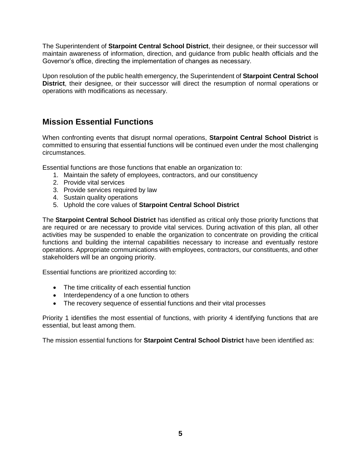The Superintendent of **Starpoint Central School District**, their designee, or their successor will maintain awareness of information, direction, and guidance from public health officials and the Governor's office, directing the implementation of changes as necessary.

Upon resolution of the public health emergency, the Superintendent of **Starpoint Central School District**, their designee, or their successor will direct the resumption of normal operations or operations with modifications as necessary.

# **Mission Essential Functions**

When confronting events that disrupt normal operations, **Starpoint Central School District** is committed to ensuring that essential functions will be continued even under the most challenging circumstances.

Essential functions are those functions that enable an organization to:

- 1. Maintain the safety of employees, contractors, and our constituency
- 2. Provide vital services
- 3. Provide services required by law
- 4. Sustain quality operations
- 5. Uphold the core values of **Starpoint Central School District**

The **Starpoint Central School District** has identified as critical only those priority functions that are required or are necessary to provide vital services. During activation of this plan, all other activities may be suspended to enable the organization to concentrate on providing the critical functions and building the internal capabilities necessary to increase and eventually restore operations. Appropriate communications with employees, contractors, our constituents, and other stakeholders will be an ongoing priority.

Essential functions are prioritized according to:

- The time criticality of each essential function
- Interdependency of a one function to others
- The recovery sequence of essential functions and their vital processes

Priority 1 identifies the most essential of functions, with priority 4 identifying functions that are essential, but least among them.

The mission essential functions for **Starpoint Central School District** have been identified as: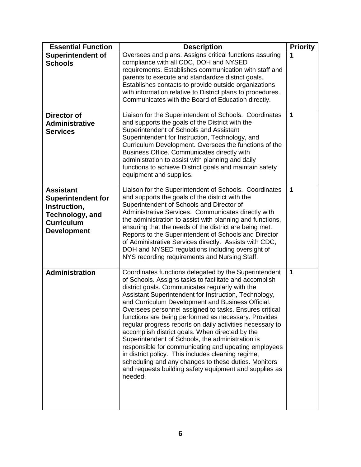| <b>Essential Function</b>                                                                                                          | <b>Description</b>                                                                                                                                                                                                                                                                                                                                                                                                                                                                                                                                                                                                                                                                                                                                                                                                | <b>Priority</b> |
|------------------------------------------------------------------------------------------------------------------------------------|-------------------------------------------------------------------------------------------------------------------------------------------------------------------------------------------------------------------------------------------------------------------------------------------------------------------------------------------------------------------------------------------------------------------------------------------------------------------------------------------------------------------------------------------------------------------------------------------------------------------------------------------------------------------------------------------------------------------------------------------------------------------------------------------------------------------|-----------------|
| <b>Superintendent of</b><br><b>Schools</b>                                                                                         | Oversees and plans. Assigns critical functions assuring<br>compliance with all CDC, DOH and NYSED<br>requirements. Establishes communication with staff and<br>parents to execute and standardize district goals.<br>Establishes contacts to provide outside organizations<br>with information relative to District plans to procedures.<br>Communicates with the Board of Education directly.                                                                                                                                                                                                                                                                                                                                                                                                                    | 1               |
| <b>Director of</b><br><b>Administrative</b><br><b>Services</b>                                                                     | Liaison for the Superintendent of Schools. Coordinates<br>and supports the goals of the District with the<br>Superintendent of Schools and Assistant<br>Superintendent for Instruction, Technology, and<br>Curriculum Development. Oversees the functions of the<br>Business Office. Communicates directly with<br>administration to assist with planning and daily<br>functions to achieve District goals and maintain safety<br>equipment and supplies.                                                                                                                                                                                                                                                                                                                                                         | 1               |
| <b>Assistant</b><br><b>Superintendent for</b><br>Instruction,<br><b>Technology, and</b><br><b>Curriculum</b><br><b>Development</b> | Liaison for the Superintendent of Schools. Coordinates<br>and supports the goals of the district with the<br>Superintendent of Schools and Director of<br>Administrative Services. Communicates directly with<br>the administration to assist with planning and functions,<br>ensuring that the needs of the district are being met.<br>Reports to the Superintendent of Schools and Director<br>of Administrative Services directly. Assists with CDC,<br>DOH and NYSED regulations including oversight of<br>NYS recording requirements and Nursing Staff.                                                                                                                                                                                                                                                      | 1               |
| <b>Administration</b>                                                                                                              | Coordinates functions delegated by the Superintendent<br>of Schools. Assigns tasks to facilitate and accomplish<br>district goals. Communicates regularly with the<br>Assistant Superintendent for Instruction, Technology,<br>and Curriculum Development and Business Official.<br>Oversees personnel assigned to tasks. Ensures critical<br>functions are being performed as necessary. Provides<br>regular progress reports on daily activities necessary to<br>accomplish district goals. When directed by the<br>Superintendent of Schools, the administration is<br>responsible for communicating and updating employees<br>in district policy. This includes cleaning regime,<br>scheduling and any changes to these duties. Monitors<br>and requests building safety equipment and supplies as<br>needed. | 1               |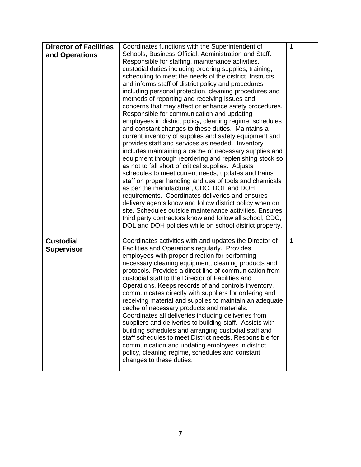| <b>Director of Facilities</b> | Coordinates functions with the Superintendent of                                                       | 1            |
|-------------------------------|--------------------------------------------------------------------------------------------------------|--------------|
| and Operations                | Schools, Business Official, Administration and Staff.                                                  |              |
|                               | Responsible for staffing, maintenance activities,                                                      |              |
|                               | custodial duties including ordering supplies, training,                                                |              |
|                               | scheduling to meet the needs of the district. Instructs                                                |              |
|                               | and informs staff of district policy and procedures                                                    |              |
|                               | including personal protection, cleaning procedures and                                                 |              |
|                               | methods of reporting and receiving issues and                                                          |              |
|                               | concerns that may affect or enhance safety procedures.                                                 |              |
|                               | Responsible for communication and updating<br>employees in district policy, cleaning regime, schedules |              |
|                               | and constant changes to these duties. Maintains a                                                      |              |
|                               | current inventory of supplies and safety equipment and                                                 |              |
|                               | provides staff and services as needed. Inventory                                                       |              |
|                               | includes maintaining a cache of necessary supplies and                                                 |              |
|                               | equipment through reordering and replenishing stock so                                                 |              |
|                               | as not to fall short of critical supplies. Adjusts                                                     |              |
|                               | schedules to meet current needs, updates and trains                                                    |              |
|                               | staff on proper handling and use of tools and chemicals                                                |              |
|                               | as per the manufacturer, CDC, DOL and DOH                                                              |              |
|                               | requirements. Coordinates deliveries and ensures                                                       |              |
|                               | delivery agents know and follow district policy when on                                                |              |
|                               | site. Schedules outside maintenance activities. Ensures                                                |              |
|                               | third party contractors know and follow all school, CDC,                                               |              |
|                               | DOL and DOH policies while on school district property.                                                |              |
| <b>Custodial</b>              | Coordinates activities with and updates the Director of                                                | $\mathbf{1}$ |
| <b>Supervisor</b>             | Facilities and Operations regularly. Provides                                                          |              |
|                               | employees with proper direction for performing                                                         |              |
|                               | necessary cleaning equipment, cleaning products and                                                    |              |
|                               | protocols. Provides a direct line of communication from                                                |              |
|                               | custodial staff to the Director of Facilities and                                                      |              |
|                               | Operations. Keeps records of and controls inventory,                                                   |              |
|                               | communicates directly with suppliers for ordering and                                                  |              |
|                               | receiving material and supplies to maintain an adequate                                                |              |
|                               | cache of necessary products and materials.<br>Coordinates all deliveries including deliveries from     |              |
|                               | suppliers and deliveries to building staff. Assists with                                               |              |
|                               | building schedules and arranging custodial staff and                                                   |              |
|                               | staff schedules to meet District needs. Responsible for                                                |              |
|                               | communication and updating employees in district                                                       |              |
|                               | policy, cleaning regime, schedules and constant                                                        |              |
|                               | changes to these duties.                                                                               |              |
|                               |                                                                                                        |              |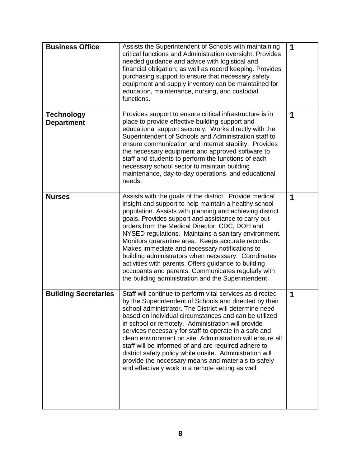| <b>Business Office</b>                 | Assists the Superintendent of Schools with maintaining<br>critical functions and Administration oversight. Provides<br>needed guidance and advice with logistical and<br>financial obligation; as well as record keeping. Provides<br>purchasing support to ensure that necessary safety<br>equipment and supply inventory can be maintained for<br>education, maintenance, nursing, and custodial<br>functions.                                                                                                                                                                                                                                                                 | 1 |
|----------------------------------------|----------------------------------------------------------------------------------------------------------------------------------------------------------------------------------------------------------------------------------------------------------------------------------------------------------------------------------------------------------------------------------------------------------------------------------------------------------------------------------------------------------------------------------------------------------------------------------------------------------------------------------------------------------------------------------|---|
| <b>Technology</b><br><b>Department</b> | Provides support to ensure critical infrastructure is in<br>place to provide effective building support and<br>educational support securely. Works directly with the<br>Superintendent of Schools and Administration staff to<br>ensure communication and internet stability. Provides<br>the necessary equipment and approved software to<br>staff and students to perform the functions of each<br>necessary school sector to maintain building<br>maintenance, day-to-day operations, and educational<br>needs.                                                                                                                                                               | 1 |
| <b>Nurses</b>                          | Assists with the goals of the district. Provide medical<br>insight and support to help maintain a healthy school<br>population. Assists with planning and achieving district<br>goals. Provides support and assistance to carry out<br>orders from the Medical Director, CDC, DOH and<br>NYSED regulations. Maintains a sanitary environment.<br>Monitors quarantine area. Keeps accurate records.<br>Makes immediate and necessary notifications to<br>building administrators when necessary. Coordinates<br>activities with parents. Offers guidance to building<br>occupants and parents. Communicates regularly with<br>the building administration and the Superintendent. | 1 |
| <b>Building Secretaries</b>            | Staff will continue to perform vital services as directed<br>by the Superintendent of Schools and directed by their<br>school administrator. The District will determine need<br>based on individual circumstances and can be utilized<br>in school or remotely. Administration will provide<br>services necessary for staff to operate in a safe and<br>clean environment on site. Administration will ensure all<br>staff will be informed of and are required adhere to<br>district safety policy while onsite. Administration will<br>provide the necessary means and materials to safely<br>and effectively work in a remote setting as well.                               | 1 |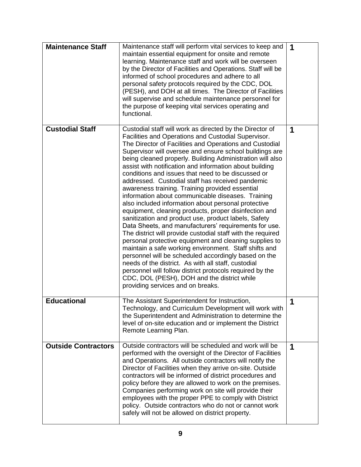| <b>Maintenance Staff</b>   | Maintenance staff will perform vital services to keep and<br>maintain essential equipment for onsite and remote<br>learning. Maintenance staff and work will be overseen<br>by the Director of Facilities and Operations. Staff will be<br>informed of school procedures and adhere to all<br>personal safety protocols required by the CDC, DOL<br>(PESH), and DOH at all times. The Director of Facilities<br>will supervise and schedule maintenance personnel for<br>the purpose of keeping vital services operating and<br>functional.                                                                                                                                                                                                                                                                                                                                                                                                                                                                                                                                                                                                                                                                                                                       | 1 |
|----------------------------|-------------------------------------------------------------------------------------------------------------------------------------------------------------------------------------------------------------------------------------------------------------------------------------------------------------------------------------------------------------------------------------------------------------------------------------------------------------------------------------------------------------------------------------------------------------------------------------------------------------------------------------------------------------------------------------------------------------------------------------------------------------------------------------------------------------------------------------------------------------------------------------------------------------------------------------------------------------------------------------------------------------------------------------------------------------------------------------------------------------------------------------------------------------------------------------------------------------------------------------------------------------------|---|
| <b>Custodial Staff</b>     | Custodial staff will work as directed by the Director of<br>Facilities and Operations and Custodial Supervisor.<br>The Director of Facilities and Operations and Custodial<br>Supervisor will oversee and ensure school buildings are<br>being cleaned properly. Building Administration will also<br>assist with notification and information about building<br>conditions and issues that need to be discussed or<br>addressed. Custodial staff has received pandemic<br>awareness training. Training provided essential<br>information about communicable diseases. Training<br>also included information about personal protective<br>equipment, cleaning products, proper disinfection and<br>sanitization and product use, product labels, Safety<br>Data Sheets, and manufacturers' requirements for use.<br>The district will provide custodial staff with the required<br>personal protective equipment and cleaning supplies to<br>maintain a safe working environment. Staff shifts and<br>personnel will be scheduled accordingly based on the<br>needs of the district. As with all staff, custodial<br>personnel will follow district protocols required by the<br>CDC, DOL (PESH), DOH and the district while<br>providing services and on breaks. | 1 |
| <b>Educational</b>         | The Assistant Superintendent for Instruction,<br>Technology, and Curriculum Development will work with<br>the Superintendent and Administration to determine the<br>level of on-site education and or implement the District<br>Remote Learning Plan.                                                                                                                                                                                                                                                                                                                                                                                                                                                                                                                                                                                                                                                                                                                                                                                                                                                                                                                                                                                                             | 1 |
| <b>Outside Contractors</b> | Outside contractors will be scheduled and work will be<br>performed with the oversight of the Director of Facilities<br>and Operations. All outside contractors will notify the<br>Director of Facilities when they arrive on-site. Outside<br>contractors will be informed of district procedures and<br>policy before they are allowed to work on the premises.<br>Companies performing work on site will provide their<br>employees with the proper PPE to comply with District<br>policy. Outside contractors who do not or cannot work<br>safely will not be allowed on district property.                                                                                                                                                                                                                                                                                                                                                                                                                                                                                                                                                                                                                                                                   | 1 |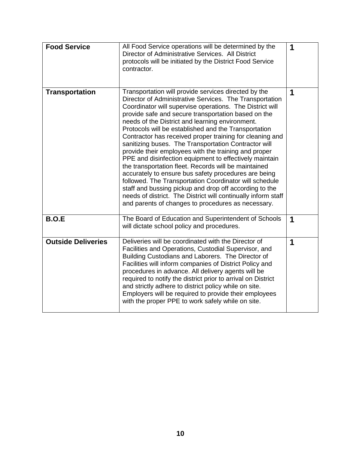| <b>Food Service</b>       | All Food Service operations will be determined by the<br>Director of Administrative Services. All District<br>protocols will be initiated by the District Food Service<br>contractor.                                                                                                                                                                                                                                                                                                                                                                                                                                                                                                                                                                                                                                                                                                                                                          | 1 |
|---------------------------|------------------------------------------------------------------------------------------------------------------------------------------------------------------------------------------------------------------------------------------------------------------------------------------------------------------------------------------------------------------------------------------------------------------------------------------------------------------------------------------------------------------------------------------------------------------------------------------------------------------------------------------------------------------------------------------------------------------------------------------------------------------------------------------------------------------------------------------------------------------------------------------------------------------------------------------------|---|
| <b>Transportation</b>     | Transportation will provide services directed by the<br>Director of Administrative Services. The Transportation<br>Coordinator will supervise operations. The District will<br>provide safe and secure transportation based on the<br>needs of the District and learning environment.<br>Protocols will be established and the Transportation<br>Contractor has received proper training for cleaning and<br>sanitizing buses. The Transportation Contractor will<br>provide their employees with the training and proper<br>PPE and disinfection equipment to effectively maintain<br>the transportation fleet. Records will be maintained<br>accurately to ensure bus safety procedures are being<br>followed. The Transportation Coordinator will schedule<br>staff and bussing pickup and drop off according to the<br>needs of district. The District will continually inform staff<br>and parents of changes to procedures as necessary. | 1 |
| <b>B.O.E</b>              | The Board of Education and Superintendent of Schools<br>will dictate school policy and procedures.                                                                                                                                                                                                                                                                                                                                                                                                                                                                                                                                                                                                                                                                                                                                                                                                                                             | 1 |
| <b>Outside Deliveries</b> | Deliveries will be coordinated with the Director of<br>Facilities and Operations, Custodial Supervisor, and<br>Building Custodians and Laborers. The Director of<br>Facilities will inform companies of District Policy and<br>procedures in advance. All delivery agents will be<br>required to notify the district prior to arrival on District<br>and strictly adhere to district policy while on site.<br>Employers will be required to provide their employees<br>with the proper PPE to work safely while on site.                                                                                                                                                                                                                                                                                                                                                                                                                       | 1 |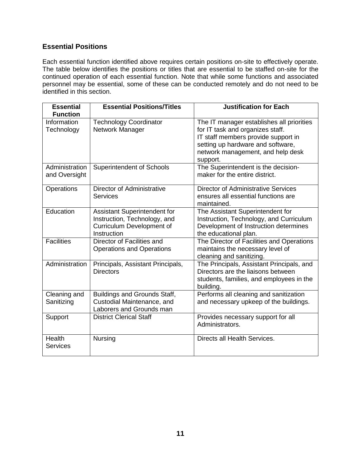#### **Essential Positions**

Each essential function identified above requires certain positions on-site to effectively operate. The table below identifies the positions or titles that are essential to be staffed on-site for the continued operation of each essential function. Note that while some functions and associated personnel may be essential, some of these can be conducted remotely and do not need to be identified in this section.

| <b>Essential</b>                 | <b>Essential Positions/Titles</b>                                                                        | <b>Justification for Each</b>                                                                                                                                                                              |
|----------------------------------|----------------------------------------------------------------------------------------------------------|------------------------------------------------------------------------------------------------------------------------------------------------------------------------------------------------------------|
| <b>Function</b>                  |                                                                                                          |                                                                                                                                                                                                            |
| Information<br>Technology        | <b>Technology Coordinator</b><br>Network Manager                                                         | The IT manager establishes all priorities<br>for IT task and organizes staff.<br>IT staff members provide support in<br>setting up hardware and software,<br>network management, and help desk<br>support. |
| Administration<br>and Oversight  | <b>Superintendent of Schools</b>                                                                         | The Superintendent is the decision-<br>maker for the entire district.                                                                                                                                      |
| Operations                       | <b>Director of Administrative</b><br><b>Services</b>                                                     | <b>Director of Administrative Services</b><br>ensures all essential functions are<br>maintained.                                                                                                           |
| Education                        | Assistant Superintendent for<br>Instruction, Technology, and<br>Curriculum Development of<br>Instruction | The Assistant Superintendent for<br>Instruction, Technology, and Curriculum<br>Development of Instruction determines<br>the educational plan.                                                              |
| <b>Facilities</b>                | Director of Facilities and<br><b>Operations and Operations</b>                                           | The Director of Facilities and Operations<br>maintains the necessary level of<br>cleaning and sanitizing.                                                                                                  |
| Administration                   | Principals, Assistant Principals,<br><b>Directors</b>                                                    | The Principals, Assistant Principals, and<br>Directors are the liaisons between<br>students, families, and employees in the<br>building.                                                                   |
| Cleaning and<br>Sanitizing       | Buildings and Grounds Staff,<br>Custodial Maintenance, and<br>Laborers and Grounds man                   | Performs all cleaning and sanitization<br>and necessary upkeep of the buildings.                                                                                                                           |
| Support                          | <b>District Clerical Staff</b>                                                                           | Provides necessary support for all<br>Administrators.                                                                                                                                                      |
| <b>Health</b><br><b>Services</b> | Nursing                                                                                                  | Directs all Health Services.                                                                                                                                                                               |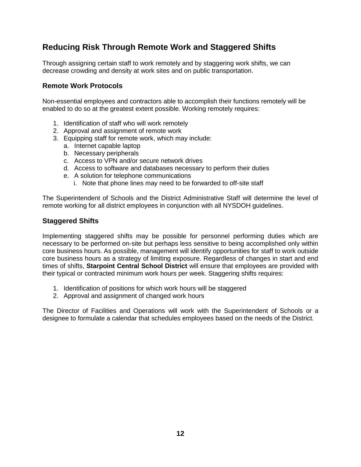# **Reducing Risk Through Remote Work and Staggered Shifts**

Through assigning certain staff to work remotely and by staggering work shifts, we can decrease crowding and density at work sites and on public transportation.

#### **Remote Work Protocols**

Non-essential employees and contractors able to accomplish their functions remotely will be enabled to do so at the greatest extent possible. Working remotely requires:

- 1. Identification of staff who will work remotely
- 2. Approval and assignment of remote work
- 3. Equipping staff for remote work, which may include:
	- a. Internet capable laptop
	- b. Necessary peripherals
	- c. Access to VPN and/or secure network drives
	- d. Access to software and databases necessary to perform their duties
	- e. A solution for telephone communications
		- i. Note that phone lines may need to be forwarded to off-site staff

The Superintendent of Schools and the District Administrative Staff will determine the level of remote working for all district employees in conjunction with all NYSDOH guidelines.

#### **Staggered Shifts**

Implementing staggered shifts may be possible for personnel performing duties which are necessary to be performed on-site but perhaps less sensitive to being accomplished only within core business hours. As possible, management will identify opportunities for staff to work outside core business hours as a strategy of limiting exposure. Regardless of changes in start and end times of shifts, **Starpoint Central School District** will ensure that employees are provided with their typical or contracted minimum work hours per week. Staggering shifts requires:

- 1. Identification of positions for which work hours will be staggered
- 2. Approval and assignment of changed work hours

The Director of Facilities and Operations will work with the Superintendent of Schools or a designee to formulate a calendar that schedules employees based on the needs of the District.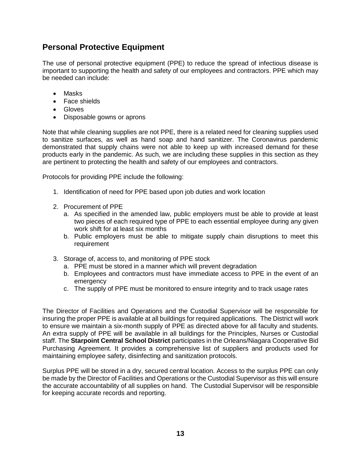# **Personal Protective Equipment**

The use of personal protective equipment (PPE) to reduce the spread of infectious disease is important to supporting the health and safety of our employees and contractors. PPE which may be needed can include:

- Masks
- Face shields
- **•** Gloves
- Disposable gowns or aprons

Note that while cleaning supplies are not PPE, there is a related need for cleaning supplies used to sanitize surfaces, as well as hand soap and hand sanitizer. The Coronavirus pandemic demonstrated that supply chains were not able to keep up with increased demand for these products early in the pandemic. As such, we are including these supplies in this section as they are pertinent to protecting the health and safety of our employees and contractors.

Protocols for providing PPE include the following:

- 1. Identification of need for PPE based upon job duties and work location
- 2. Procurement of PPE
	- a. As specified in the amended law, public employers must be able to provide at least two pieces of each required type of PPE to each essential employee during any given work shift for at least six months
	- b. Public employers must be able to mitigate supply chain disruptions to meet this requirement
- 3. Storage of, access to, and monitoring of PPE stock
	- a. PPE must be stored in a manner which will prevent degradation
	- b. Employees and contractors must have immediate access to PPE in the event of an emergency
	- c. The supply of PPE must be monitored to ensure integrity and to track usage rates

The Director of Facilities and Operations and the Custodial Supervisor will be responsible for insuring the proper PPE is available at all buildings for required applications. The District will work to ensure we maintain a six-month supply of PPE as directed above for all faculty and students. An extra supply of PPE will be available in all buildings for the Principles, Nurses or Custodial staff. The **Starpoint Central School District** participates in the Orleans/Niagara Cooperative Bid Purchasing Agreement. It provides a comprehensive list of suppliers and products used for maintaining employee safety, disinfecting and sanitization protocols.

Surplus PPE will be stored in a dry, secured central location. Access to the surplus PPE can only be made by the Director of Facilities and Operations or the Custodial Supervisor as this will ensure the accurate accountability of all supplies on hand. The Custodial Supervisor will be responsible for keeping accurate records and reporting.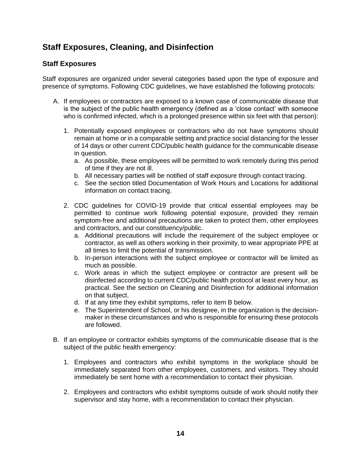# **Staff Exposures, Cleaning, and Disinfection**

#### **Staff Exposures**

Staff exposures are organized under several categories based upon the type of exposure and presence of symptoms. Following CDC guidelines, we have established the following protocols:

- A. If employees or contractors are exposed to a known case of communicable disease that is the subject of the public health emergency (defined as a 'close contact' with someone who is confirmed infected, which is a prolonged presence within six feet with that person):
	- 1. Potentially exposed employees or contractors who do not have symptoms should remain at home or in a comparable setting and practice social distancing for the lesser of 14 days or other current CDC/public health guidance for the communicable disease in question.
		- a. As possible, these employees will be permitted to work remotely during this period of time if they are not ill.
		- b. All necessary parties will be notified of staff exposure through contact tracing.
		- c. See the section titled Documentation of Work Hours and Locations for additional information on contact tracing.
	- 2. CDC guidelines for COVID-19 provide that critical essential employees may be permitted to continue work following potential exposure, provided they remain symptom-free and additional precautions are taken to protect them, other employees and contractors, and our constituency/public.
		- a. Additional precautions will include the requirement of the subject employee or contractor, as well as others working in their proximity, to wear appropriate PPE at all times to limit the potential of transmission.
		- b. In-person interactions with the subject employee or contractor will be limited as much as possible.
		- c. Work areas in which the subject employee or contractor are present will be disinfected according to current CDC/public health protocol at least every hour, as practical. See the section on Cleaning and Disinfection for additional information on that subject.
		- d. If at any time they exhibit symptoms, refer to item B below.
		- e. The Superintendent of School, or his designee, in the organization is the decisionmaker in these circumstances and who is responsible for ensuring these protocols are followed.
- B. If an employee or contractor exhibits symptoms of the communicable disease that is the subject of the public health emergency:
	- 1. Employees and contractors who exhibit symptoms in the workplace should be immediately separated from other employees, customers, and visitors. They should immediately be sent home with a recommendation to contact their physician.
	- 2. Employees and contractors who exhibit symptoms outside of work should notify their supervisor and stay home, with a recommendation to contact their physician.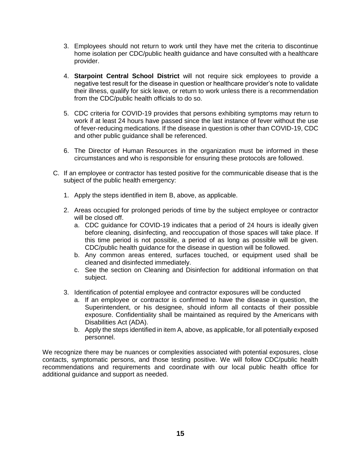- 3. Employees should not return to work until they have met the criteria to discontinue home isolation per CDC/public health guidance and have consulted with a healthcare provider.
- 4. **Starpoint Central School District** will not require sick employees to provide a negative test result for the disease in question or healthcare provider's note to validate their illness, qualify for sick leave, or return to work unless there is a recommendation from the CDC/public health officials to do so.
- 5. CDC criteria for COVID-19 provides that persons exhibiting symptoms may return to work if at least 24 hours have passed since the last instance of fever without the use of fever-reducing medications. If the disease in question is other than COVID-19, CDC and other public guidance shall be referenced.
- 6. The Director of Human Resources in the organization must be informed in these circumstances and who is responsible for ensuring these protocols are followed.
- C. If an employee or contractor has tested positive for the communicable disease that is the subject of the public health emergency:
	- 1. Apply the steps identified in item B, above, as applicable.
	- 2. Areas occupied for prolonged periods of time by the subject employee or contractor will be closed off.
		- a. CDC guidance for COVID-19 indicates that a period of 24 hours is ideally given before cleaning, disinfecting, and reoccupation of those spaces will take place. If this time period is not possible, a period of as long as possible will be given. CDC/public health guidance for the disease in question will be followed.
		- b. Any common areas entered, surfaces touched, or equipment used shall be cleaned and disinfected immediately.
		- c. See the section on Cleaning and Disinfection for additional information on that subject.
	- 3. Identification of potential employee and contractor exposures will be conducted
		- a. If an employee or contractor is confirmed to have the disease in question, the Superintendent, or his designee, should inform all contacts of their possible exposure. Confidentiality shall be maintained as required by the Americans with Disabilities Act (ADA).
		- b. Apply the steps identified in item A, above, as applicable, for all potentially exposed personnel.

We recognize there may be nuances or complexities associated with potential exposures, close contacts, symptomatic persons, and those testing positive. We will follow CDC/public health recommendations and requirements and coordinate with our local public health office for additional guidance and support as needed.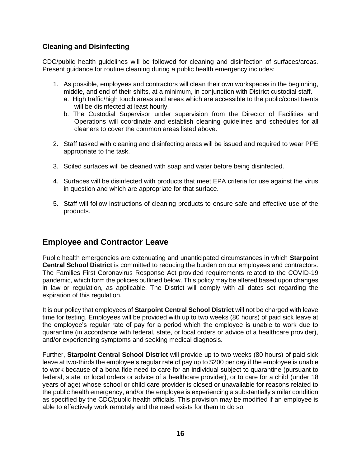#### **Cleaning and Disinfecting**

CDC/public health guidelines will be followed for cleaning and disinfection of surfaces/areas. Present guidance for routine cleaning during a public health emergency includes:

- 1. As possible, employees and contractors will clean their own workspaces in the beginning, middle, and end of their shifts, at a minimum, in conjunction with District custodial staff.
	- a. High traffic/high touch areas and areas which are accessible to the public/constituents will be disinfected at least hourly.
	- b. The Custodial Supervisor under supervision from the Director of Facilities and Operations will coordinate and establish cleaning guidelines and schedules for all cleaners to cover the common areas listed above.
- 2. Staff tasked with cleaning and disinfecting areas will be issued and required to wear PPE appropriate to the task.
- 3. Soiled surfaces will be cleaned with soap and water before being disinfected.
- 4. Surfaces will be disinfected with products that meet EPA criteria for use against the virus in question and which are appropriate for that surface.
- 5. Staff will follow instructions of cleaning products to ensure safe and effective use of the products.

### **Employee and Contractor Leave**

Public health emergencies are extenuating and unanticipated circumstances in which **Starpoint Central School District** is committed to reducing the burden on our employees and contractors. The Families First Coronavirus Response Act provided requirements related to the COVID-19 pandemic, which form the policies outlined below. This policy may be altered based upon changes in law or regulation, as applicable. The District will comply with all dates set regarding the expiration of this regulation.

It is our policy that employees of **Starpoint Central School District** will not be charged with leave time for testing. Employees will be provided with up to two weeks (80 hours) of paid sick leave at the employee's regular rate of pay for a period which the employee is unable to work due to quarantine (in accordance with federal, state, or local orders or advice of a healthcare provider), and/or experiencing symptoms and seeking medical diagnosis.

Further, **Starpoint Central School District** will provide up to two weeks (80 hours) of paid sick leave at two-thirds the employee's regular rate of pay up to \$200 per day if the employee is unable to work because of a bona fide need to care for an individual subject to quarantine (pursuant to federal, state, or local orders or advice of a healthcare provider), or to care for a child (under 18 years of age) whose school or child care provider is closed or unavailable for reasons related to the public health emergency, and/or the employee is experiencing a substantially similar condition as specified by the CDC/public health officials. This provision may be modified if an employee is able to effectively work remotely and the need exists for them to do so.